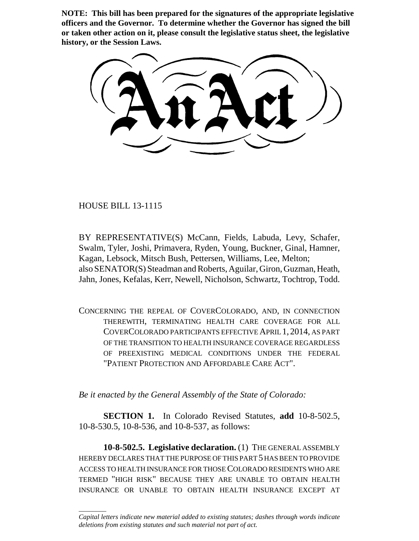**NOTE: This bill has been prepared for the signatures of the appropriate legislative officers and the Governor. To determine whether the Governor has signed the bill or taken other action on it, please consult the legislative status sheet, the legislative history, or the Session Laws.**

HOUSE BILL 13-1115

\_\_\_\_\_\_\_\_

BY REPRESENTATIVE(S) McCann, Fields, Labuda, Levy, Schafer, Swalm, Tyler, Joshi, Primavera, Ryden, Young, Buckner, Ginal, Hamner, Kagan, Lebsock, Mitsch Bush, Pettersen, Williams, Lee, Melton; also SENATOR(S) Steadman and Roberts, Aguilar, Giron, Guzman, Heath, Jahn, Jones, Kefalas, Kerr, Newell, Nicholson, Schwartz, Tochtrop, Todd.

CONCERNING THE REPEAL OF COVERCOLORADO, AND, IN CONNECTION THEREWITH, TERMINATING HEALTH CARE COVERAGE FOR ALL COVERCOLORADO PARTICIPANTS EFFECTIVE APRIL 1, 2014, AS PART OF THE TRANSITION TO HEALTH INSURANCE COVERAGE REGARDLESS OF PREEXISTING MEDICAL CONDITIONS UNDER THE FEDERAL "PATIENT PROTECTION AND AFFORDABLE CARE ACT".

*Be it enacted by the General Assembly of the State of Colorado:*

**SECTION 1.** In Colorado Revised Statutes, **add** 10-8-502.5, 10-8-530.5, 10-8-536, and 10-8-537, as follows:

**10-8-502.5. Legislative declaration.** (1) THE GENERAL ASSEMBLY HEREBY DECLARES THAT THE PURPOSE OF THIS PART 5 HAS BEEN TO PROVIDE ACCESS TO HEALTH INSURANCE FOR THOSE COLORADO RESIDENTS WHO ARE TERMED "HIGH RISK" BECAUSE THEY ARE UNABLE TO OBTAIN HEALTH INSURANCE OR UNABLE TO OBTAIN HEALTH INSURANCE EXCEPT AT

*Capital letters indicate new material added to existing statutes; dashes through words indicate deletions from existing statutes and such material not part of act.*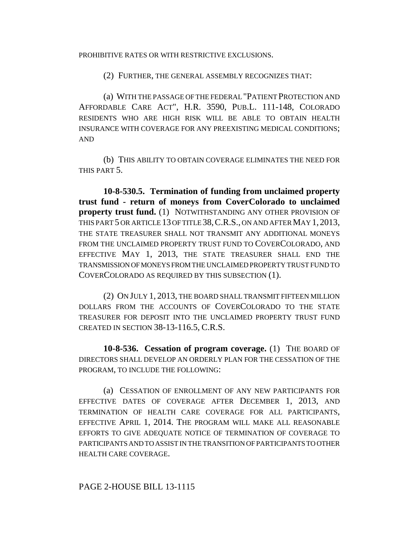#### PROHIBITIVE RATES OR WITH RESTRICTIVE EXCLUSIONS.

(2) FURTHER, THE GENERAL ASSEMBLY RECOGNIZES THAT:

(a) WITH THE PASSAGE OF THE FEDERAL "PATIENT PROTECTION AND AFFORDABLE CARE ACT", H.R. 3590, PUB.L. 111-148, COLORADO RESIDENTS WHO ARE HIGH RISK WILL BE ABLE TO OBTAIN HEALTH INSURANCE WITH COVERAGE FOR ANY PREEXISTING MEDICAL CONDITIONS; AND

(b) THIS ABILITY TO OBTAIN COVERAGE ELIMINATES THE NEED FOR THIS PART 5.

**10-8-530.5. Termination of funding from unclaimed property trust fund - return of moneys from CoverColorado to unclaimed property trust fund.** (1) NOTWITHSTANDING ANY OTHER PROVISION OF THIS PART 5 OR ARTICLE 13 OF TITLE 38,C.R.S., ON AND AFTER MAY 1, 2013, THE STATE TREASURER SHALL NOT TRANSMIT ANY ADDITIONAL MONEYS FROM THE UNCLAIMED PROPERTY TRUST FUND TO COVERCOLORADO, AND EFFECTIVE MAY 1, 2013, THE STATE TREASURER SHALL END THE TRANSMISSION OF MONEYS FROM THE UNCLAIMED PROPERTY TRUST FUND TO COVERCOLORADO AS REQUIRED BY THIS SUBSECTION (1).

(2) ON JULY 1, 2013, THE BOARD SHALL TRANSMIT FIFTEEN MILLION DOLLARS FROM THE ACCOUNTS OF COVERCOLORADO TO THE STATE TREASURER FOR DEPOSIT INTO THE UNCLAIMED PROPERTY TRUST FUND CREATED IN SECTION 38-13-116.5, C.R.S.

**10-8-536. Cessation of program coverage.** (1) THE BOARD OF DIRECTORS SHALL DEVELOP AN ORDERLY PLAN FOR THE CESSATION OF THE PROGRAM, TO INCLUDE THE FOLLOWING:

(a) CESSATION OF ENROLLMENT OF ANY NEW PARTICIPANTS FOR EFFECTIVE DATES OF COVERAGE AFTER DECEMBER 1, 2013, AND TERMINATION OF HEALTH CARE COVERAGE FOR ALL PARTICIPANTS, EFFECTIVE APRIL 1, 2014. THE PROGRAM WILL MAKE ALL REASONABLE EFFORTS TO GIVE ADEQUATE NOTICE OF TERMINATION OF COVERAGE TO PARTICIPANTS AND TO ASSIST IN THE TRANSITION OF PARTICIPANTS TO OTHER HEALTH CARE COVERAGE.

# PAGE 2-HOUSE BILL 13-1115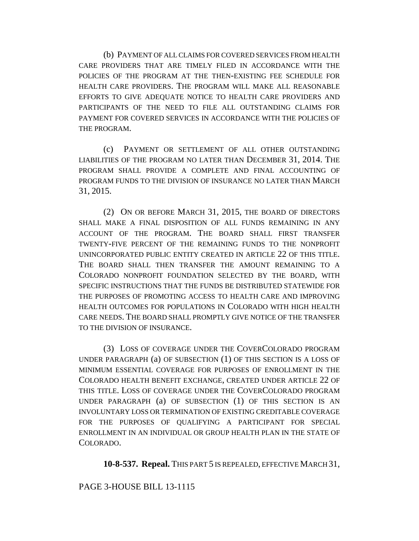(b) PAYMENT OF ALL CLAIMS FOR COVERED SERVICES FROM HEALTH CARE PROVIDERS THAT ARE TIMELY FILED IN ACCORDANCE WITH THE POLICIES OF THE PROGRAM AT THE THEN-EXISTING FEE SCHEDULE FOR HEALTH CARE PROVIDERS. THE PROGRAM WILL MAKE ALL REASONABLE EFFORTS TO GIVE ADEQUATE NOTICE TO HEALTH CARE PROVIDERS AND PARTICIPANTS OF THE NEED TO FILE ALL OUTSTANDING CLAIMS FOR PAYMENT FOR COVERED SERVICES IN ACCORDANCE WITH THE POLICIES OF THE PROGRAM.

(c) PAYMENT OR SETTLEMENT OF ALL OTHER OUTSTANDING LIABILITIES OF THE PROGRAM NO LATER THAN DECEMBER 31, 2014. THE PROGRAM SHALL PROVIDE A COMPLETE AND FINAL ACCOUNTING OF PROGRAM FUNDS TO THE DIVISION OF INSURANCE NO LATER THAN MARCH 31, 2015.

(2) ON OR BEFORE MARCH 31, 2015, THE BOARD OF DIRECTORS SHALL MAKE A FINAL DISPOSITION OF ALL FUNDS REMAINING IN ANY ACCOUNT OF THE PROGRAM. THE BOARD SHALL FIRST TRANSFER TWENTY-FIVE PERCENT OF THE REMAINING FUNDS TO THE NONPROFIT UNINCORPORATED PUBLIC ENTITY CREATED IN ARTICLE 22 OF THIS TITLE. THE BOARD SHALL THEN TRANSFER THE AMOUNT REMAINING TO A COLORADO NONPROFIT FOUNDATION SELECTED BY THE BOARD, WITH SPECIFIC INSTRUCTIONS THAT THE FUNDS BE DISTRIBUTED STATEWIDE FOR THE PURPOSES OF PROMOTING ACCESS TO HEALTH CARE AND IMPROVING HEALTH OUTCOMES FOR POPULATIONS IN COLORADO WITH HIGH HEALTH CARE NEEDS. THE BOARD SHALL PROMPTLY GIVE NOTICE OF THE TRANSFER TO THE DIVISION OF INSURANCE.

(3) LOSS OF COVERAGE UNDER THE COVERCOLORADO PROGRAM UNDER PARAGRAPH (a) OF SUBSECTION (1) OF THIS SECTION IS A LOSS OF MINIMUM ESSENTIAL COVERAGE FOR PURPOSES OF ENROLLMENT IN THE COLORADO HEALTH BENEFIT EXCHANGE, CREATED UNDER ARTICLE 22 OF THIS TITLE. LOSS OF COVERAGE UNDER THE COVERCOLORADO PROGRAM UNDER PARAGRAPH (a) OF SUBSECTION (1) OF THIS SECTION IS AN INVOLUNTARY LOSS OR TERMINATION OF EXISTING CREDITABLE COVERAGE FOR THE PURPOSES OF QUALIFYING A PARTICIPANT FOR SPECIAL ENROLLMENT IN AN INDIVIDUAL OR GROUP HEALTH PLAN IN THE STATE OF COLORADO.

**10-8-537. Repeal.** THIS PART 5 IS REPEALED, EFFECTIVE MARCH 31,

# PAGE 3-HOUSE BILL 13-1115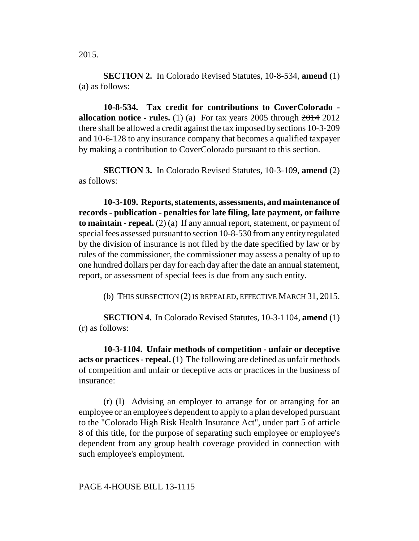**SECTION 2.** In Colorado Revised Statutes, 10-8-534, **amend** (1) (a) as follows:

**10-8-534. Tax credit for contributions to CoverColorado allocation notice - rules.** (1) (a) For tax years 2005 through  $2014$  2012 there shall be allowed a credit against the tax imposed by sections 10-3-209 and 10-6-128 to any insurance company that becomes a qualified taxpayer by making a contribution to CoverColorado pursuant to this section.

**SECTION 3.** In Colorado Revised Statutes, 10-3-109, **amend** (2) as follows:

**10-3-109. Reports, statements, assessments, and maintenance of records - publication - penalties for late filing, late payment, or failure to maintain - repeal.** (2) (a) If any annual report, statement, or payment of special fees assessed pursuant to section 10-8-530 from any entity regulated by the division of insurance is not filed by the date specified by law or by rules of the commissioner, the commissioner may assess a penalty of up to one hundred dollars per day for each day after the date an annual statement, report, or assessment of special fees is due from any such entity.

(b) THIS SUBSECTION (2) IS REPEALED, EFFECTIVE MARCH 31, 2015.

**SECTION 4.** In Colorado Revised Statutes, 10-3-1104, **amend** (1) (r) as follows:

**10-3-1104. Unfair methods of competition - unfair or deceptive acts or practices - repeal.** (1) The following are defined as unfair methods of competition and unfair or deceptive acts or practices in the business of insurance:

(r) (I) Advising an employer to arrange for or arranging for an employee or an employee's dependent to apply to a plan developed pursuant to the "Colorado High Risk Health Insurance Act", under part 5 of article 8 of this title, for the purpose of separating such employee or employee's dependent from any group health coverage provided in connection with such employee's employment.

# PAGE 4-HOUSE BILL 13-1115

2015.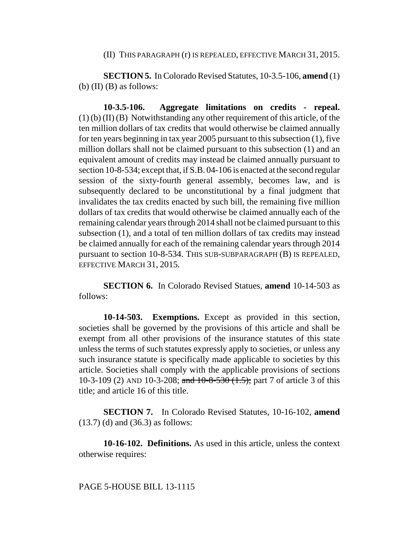#### (II) THIS PARAGRAPH (r) IS REPEALED, EFFECTIVE MARCH 31, 2015.

**SECTION 5.** In Colorado Revised Statutes, 10-3.5-106, **amend** (1) (b)  $(II)$   $(B)$  as follows:

**10-3.5-106. Aggregate limitations on credits - repeal.** (1) (b) (II) (B) Notwithstanding any other requirement of this article, of the ten million dollars of tax credits that would otherwise be claimed annually for ten years beginning in tax year 2005 pursuant to this subsection (1), five million dollars shall not be claimed pursuant to this subsection (1) and an equivalent amount of credits may instead be claimed annually pursuant to section 10-8-534; except that, if S.B. 04-106 is enacted at the second regular session of the sixty-fourth general assembly, becomes law, and is subsequently declared to be unconstitutional by a final judgment that invalidates the tax credits enacted by such bill, the remaining five million dollars of tax credits that would otherwise be claimed annually each of the remaining calendar years through 2014 shall not be claimed pursuant to this subsection (1), and a total of ten million dollars of tax credits may instead be claimed annually for each of the remaining calendar years through 2014 pursuant to section 10-8-534. THIS SUB-SUBPARAGRAPH (B) IS REPEALED, EFFECTIVE MARCH 31, 2015.

**SECTION 6.** In Colorado Revised Statues, **amend** 10-14-503 as follows:

**10-14-503. Exemptions.** Except as provided in this section, societies shall be governed by the provisions of this article and shall be exempt from all other provisions of the insurance statutes of this state unless the terms of such statutes expressly apply to societies, or unless any such insurance statute is specifically made applicable to societies by this article. Societies shall comply with the applicable provisions of sections 10-3-109 (2) AND 10-3-208; and 10-8-530 (1.5); part 7 of article 3 of this title; and article 16 of this title.

**SECTION 7.** In Colorado Revised Statutes, 10-16-102, **amend** (13.7) (d) and (36.3) as follows:

**10-16-102. Definitions.** As used in this article, unless the context otherwise requires:

### PAGE 5-HOUSE BILL 13-1115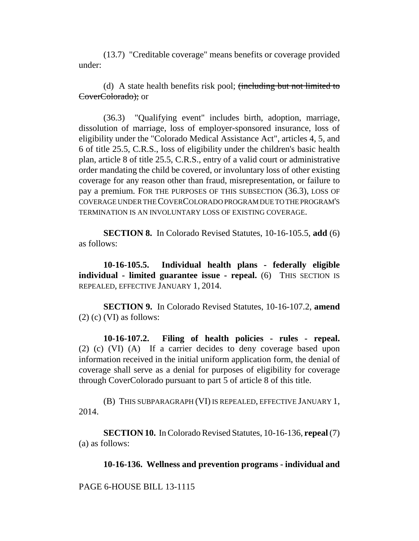(13.7) "Creditable coverage" means benefits or coverage provided under:

(d) A state health benefits risk pool; (including but not limited to CoverColorado); or

(36.3) "Qualifying event" includes birth, adoption, marriage, dissolution of marriage, loss of employer-sponsored insurance, loss of eligibility under the "Colorado Medical Assistance Act", articles 4, 5, and 6 of title 25.5, C.R.S., loss of eligibility under the children's basic health plan, article 8 of title 25.5, C.R.S., entry of a valid court or administrative order mandating the child be covered, or involuntary loss of other existing coverage for any reason other than fraud, misrepresentation, or failure to pay a premium. FOR THE PURPOSES OF THIS SUBSECTION (36.3), LOSS OF COVERAGE UNDER THE COVERCOLORADO PROGRAM DUE TO THE PROGRAM'S TERMINATION IS AN INVOLUNTARY LOSS OF EXISTING COVERAGE.

**SECTION 8.** In Colorado Revised Statutes, 10-16-105.5, **add** (6) as follows:

**10-16-105.5. Individual health plans - federally eligible individual - limited guarantee issue - repeal.** (6) THIS SECTION IS REPEALED, EFFECTIVE JANUARY 1, 2014.

**SECTION 9.** In Colorado Revised Statutes, 10-16-107.2, **amend**  $(2)$  (c) (VI) as follows:

**10-16-107.2. Filing of health policies - rules - repeal.** (2) (c) (VI) (A) If a carrier decides to deny coverage based upon information received in the initial uniform application form, the denial of coverage shall serve as a denial for purposes of eligibility for coverage through CoverColorado pursuant to part 5 of article 8 of this title.

(B) THIS SUBPARAGRAPH (VI) IS REPEALED, EFFECTIVE JANUARY 1, 2014.

**SECTION 10.** In Colorado Revised Statutes, 10-16-136, **repeal** (7) (a) as follows:

**10-16-136. Wellness and prevention programs - individual and**

PAGE 6-HOUSE BILL 13-1115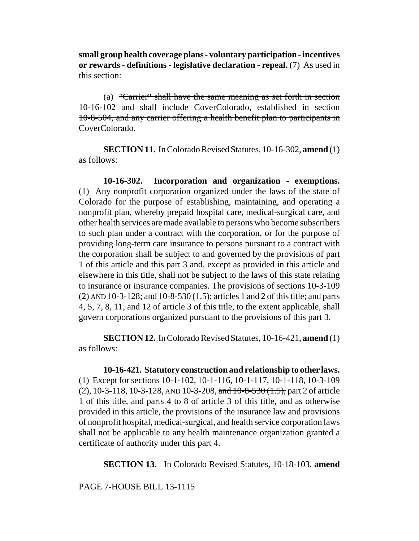**small group health coverage plans - voluntary participation - incentives or rewards - definitions - legislative declaration - repeal.** (7) As used in this section:

(a) "Carrier" shall have the same meaning as set forth in section 10-16-102 and shall include CoverColorado, established in section 10-8-504, and any carrier offering a health benefit plan to participants in CoverColorado.

**SECTION 11.** In Colorado Revised Statutes, 10-16-302, **amend** (1) as follows:

**10-16-302. Incorporation and organization - exemptions.** (1) Any nonprofit corporation organized under the laws of the state of Colorado for the purpose of establishing, maintaining, and operating a nonprofit plan, whereby prepaid hospital care, medical-surgical care, and other health services are made available to persons who become subscribers to such plan under a contract with the corporation, or for the purpose of providing long-term care insurance to persons pursuant to a contract with the corporation shall be subject to and governed by the provisions of part 1 of this article and this part 3 and, except as provided in this article and elsewhere in this title, shall not be subject to the laws of this state relating to insurance or insurance companies. The provisions of sections 10-3-109 (2) AND 10-3-128; and  $10$ -8-530  $(1.5)$ ; articles 1 and 2 of this title; and parts 4, 5, 7, 8, 11, and 12 of article 3 of this title, to the extent applicable, shall govern corporations organized pursuant to the provisions of this part 3.

**SECTION 12.** In Colorado Revised Statutes, 10-16-421, **amend** (1) as follows:

**10-16-421. Statutory construction and relationship to other laws.** (1) Except for sections 10-1-102, 10-1-116, 10-1-117, 10-1-118, 10-3-109 (2), 10-3-118, 10-3-128, AND 10-3-208, and  $10$ -8-530  $(1.5)$ , part 2 of article 1 of this title, and parts 4 to 8 of article 3 of this title, and as otherwise provided in this article, the provisions of the insurance law and provisions of nonprofit hospital, medical-surgical, and health service corporation laws shall not be applicable to any health maintenance organization granted a certificate of authority under this part 4.

**SECTION 13.** In Colorado Revised Statutes, 10-18-103, **amend**

PAGE 7-HOUSE BILL 13-1115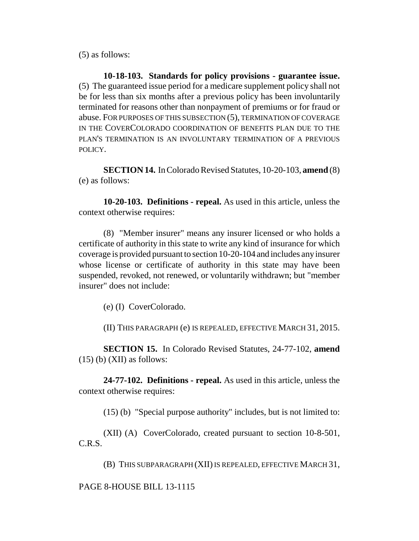(5) as follows:

**10-18-103. Standards for policy provisions - guarantee issue.** (5) The guaranteed issue period for a medicare supplement policy shall not be for less than six months after a previous policy has been involuntarily terminated for reasons other than nonpayment of premiums or for fraud or abuse. FOR PURPOSES OF THIS SUBSECTION (5), TERMINATION OF COVERAGE IN THE COVERCOLORADO COORDINATION OF BENEFITS PLAN DUE TO THE PLAN'S TERMINATION IS AN INVOLUNTARY TERMINATION OF A PREVIOUS POLICY.

**SECTION 14.** In Colorado Revised Statutes, 10-20-103, **amend** (8) (e) as follows:

**10-20-103. Definitions - repeal.** As used in this article, unless the context otherwise requires:

(8) "Member insurer" means any insurer licensed or who holds a certificate of authority in this state to write any kind of insurance for which coverage is provided pursuant to section 10-20-104 and includes any insurer whose license or certificate of authority in this state may have been suspended, revoked, not renewed, or voluntarily withdrawn; but "member insurer" does not include:

(e) (I) CoverColorado.

(II) THIS PARAGRAPH (e) IS REPEALED, EFFECTIVE MARCH 31, 2015.

**SECTION 15.** In Colorado Revised Statutes, 24-77-102, **amend**  $(15)$  (b) (XII) as follows:

**24-77-102. Definitions - repeal.** As used in this article, unless the context otherwise requires:

(15) (b) "Special purpose authority" includes, but is not limited to:

(XII) (A) CoverColorado, created pursuant to section 10-8-501, C.R.S.

(B) THIS SUBPARAGRAPH (XII) IS REPEALED, EFFECTIVE MARCH 31,

PAGE 8-HOUSE BILL 13-1115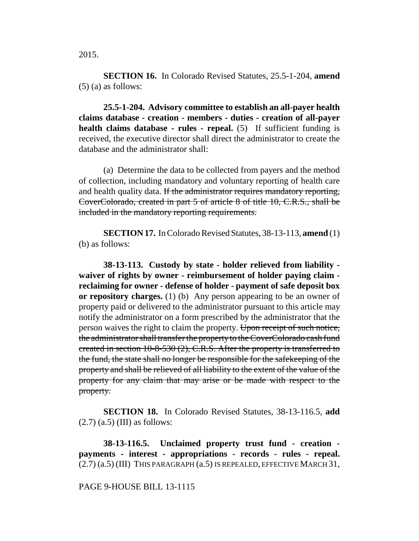**SECTION 16.** In Colorado Revised Statutes, 25.5-1-204, **amend** (5) (a) as follows:

**25.5-1-204. Advisory committee to establish an all-payer health claims database - creation - members - duties - creation of all-payer health claims database - rules - repeal.** (5) If sufficient funding is received, the executive director shall direct the administrator to create the database and the administrator shall:

(a) Determine the data to be collected from payers and the method of collection, including mandatory and voluntary reporting of health care and health quality data. If the administrator requires mandatory reporting, CoverColorado, created in part 5 of article 8 of title 10, C.R.S., shall be included in the mandatory reporting requirements.

**SECTION 17.** In Colorado Revised Statutes, 38-13-113, **amend** (1) (b) as follows:

**38-13-113. Custody by state - holder relieved from liability waiver of rights by owner - reimbursement of holder paying claim reclaiming for owner - defense of holder - payment of safe deposit box or repository charges.** (1) (b) Any person appearing to be an owner of property paid or delivered to the administrator pursuant to this article may notify the administrator on a form prescribed by the administrator that the person waives the right to claim the property. Upon receipt of such notice, the administrator shall transfer the property to the CoverColorado cash fund created in section 10-8-530 (2), C.R.S. After the property is transferred to the fund, the state shall no longer be responsible for the safekeeping of the property and shall be relieved of all liability to the extent of the value of the property for any claim that may arise or be made with respect to the property.

**SECTION 18.** In Colorado Revised Statutes, 38-13-116.5, **add**  $(2.7)$   $(a.5)$  (III) as follows:

**38-13-116.5. Unclaimed property trust fund - creation payments - interest - appropriations - records - rules - repeal.**  $(2.7)$   $(a.5)$  (III) THIS PARAGRAPH  $(a.5)$  IS REPEALED, EFFECTIVE MARCH 31,

#### PAGE 9-HOUSE BILL 13-1115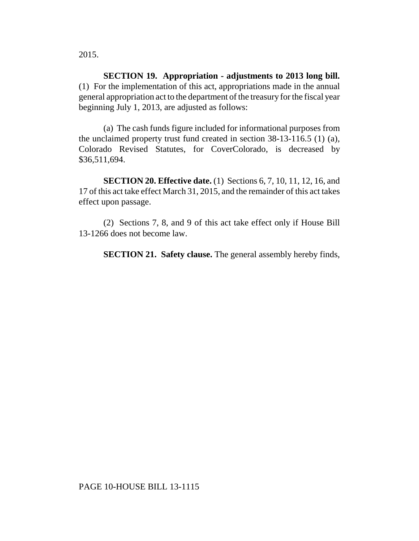2015.

**SECTION 19. Appropriation - adjustments to 2013 long bill.** (1) For the implementation of this act, appropriations made in the annual general appropriation act to the department of the treasury for the fiscal year beginning July 1, 2013, are adjusted as follows:

(a) The cash funds figure included for informational purposes from the unclaimed property trust fund created in section 38-13-116.5 (1) (a), Colorado Revised Statutes, for CoverColorado, is decreased by \$36,511,694.

**SECTION 20. Effective date.** (1) Sections 6, 7, 10, 11, 12, 16, and 17 of this act take effect March 31, 2015, and the remainder of this act takes effect upon passage.

(2) Sections 7, 8, and 9 of this act take effect only if House Bill 13-1266 does not become law.

**SECTION 21. Safety clause.** The general assembly hereby finds,